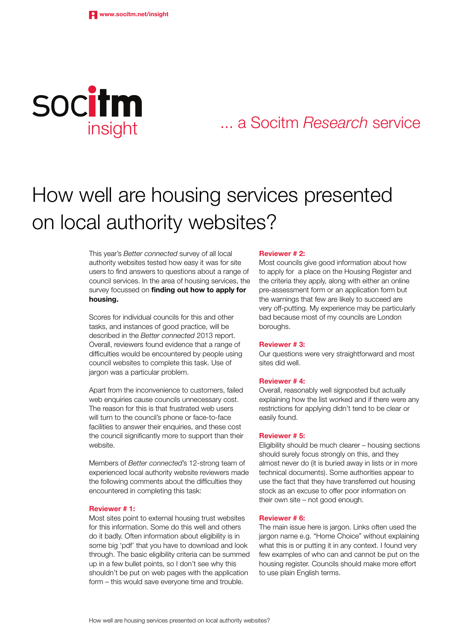

# ... a Socitm *Research* service

# How well are housing services presented on local authority websites?

This year's *Better connected* survey of all local authority websites tested how easy it was for site users to find answers to questions about a range of council services. In the area of housing services, the survey focussed on finding out how to apply for housing.

Scores for individual councils for this and other tasks, and instances of good practice, will be described in the *Better connected* 2013 report. Overall, reviewers found evidence that a range of difficulties would be encountered by people using council websites to complete this task. Use of jargon was a particular problem.

Apart from the inconvenience to customers, failed web enquiries cause councils unnecessary cost. The reason for this is that frustrated web users will turn to the council's phone or face-to-face facilities to answer their enquiries, and these cost the council significantly more to support than their website.

Members of *Better connected*'s 12-strong team of experienced local authority website reviewers made the following comments about the difficulties they encountered in completing this task:

#### Reviewer # 1:

Most sites point to external housing trust websites for this information. Some do this well and others do it badly. Often information about eligibility is in some big 'pdf' that you have to download and look through. The basic eligibility criteria can be summed up in a few bullet points, so I don't see why this shouldn't be put on web pages with the application form – this would save everyone time and trouble.

#### Reviewer # 2:

Most councils give good information about how to apply for a place on the Housing Register and the criteria they apply, along with either an online pre-assessment form or an application form but the warnings that few are likely to succeed are very off-putting. My experience may be particularly bad because most of my councils are London boroughs.

#### Reviewer # 3:

Our questions were very straightforward and most sites did well.

#### Reviewer # 4:

Overall, reasonably well signposted but actually explaining how the list worked and if there were any restrictions for applying didn't tend to be clear or easily found.

#### Reviewer # 5:

Eligibility should be much clearer – housing sections should surely focus strongly on this, and they almost never do (it is buried away in lists or in more technical documents). Some authorities appear to use the fact that they have transferred out housing stock as an excuse to offer poor information on their own site – not good enough.

#### Reviewer # 6:

The main issue here is jargon. Links often used the jargon name e.g. "Home Choice" without explaining what this is or putting it in any context. I found very few examples of who can and cannot be put on the housing register. Councils should make more effort to use plain English terms.